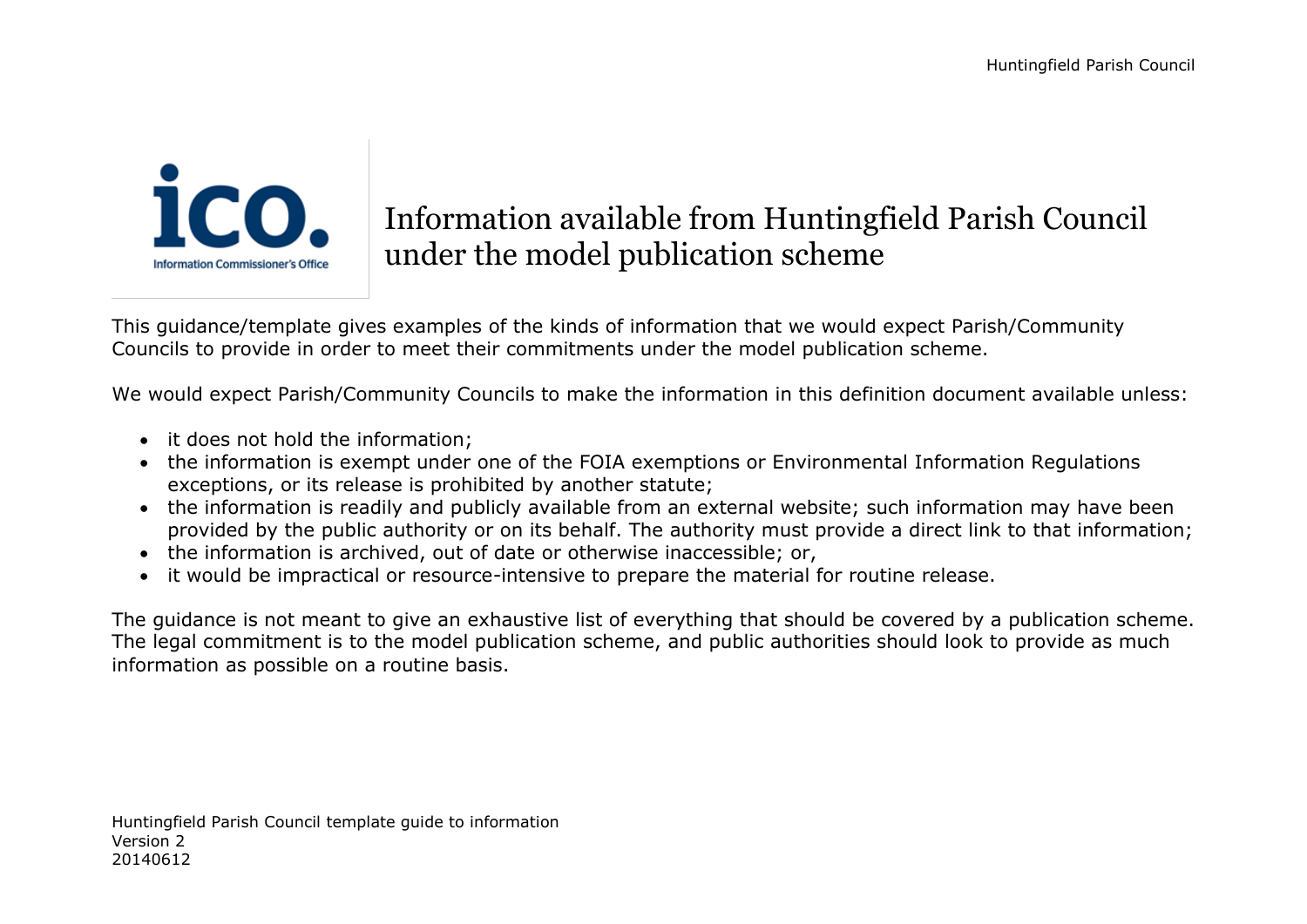

## Information available from Huntingfield Parish Council under the model publication scheme

This guidance/template gives examples of the kinds of information that we would expect Parish/Community Councils to provide in order to meet their commitments under the model publication scheme.

We would expect Parish/Community Councils to make the information in this definition document available unless:

- it does not hold the information;
- the information is exempt under one of the FOIA exemptions or Environmental Information Regulations exceptions, or its release is prohibited by another statute;
- the information is readily and publicly available from an external website; such information may have been provided by the public authority or on its behalf. The authority must provide a direct link to that information;
- the information is archived, out of date or otherwise inaccessible; or,
- it would be impractical or resource-intensive to prepare the material for routine release.

The guidance is not meant to give an exhaustive list of everything that should be covered by a publication scheme. The legal commitment is to the model publication scheme, and public authorities should look to provide as much information as possible on a routine basis.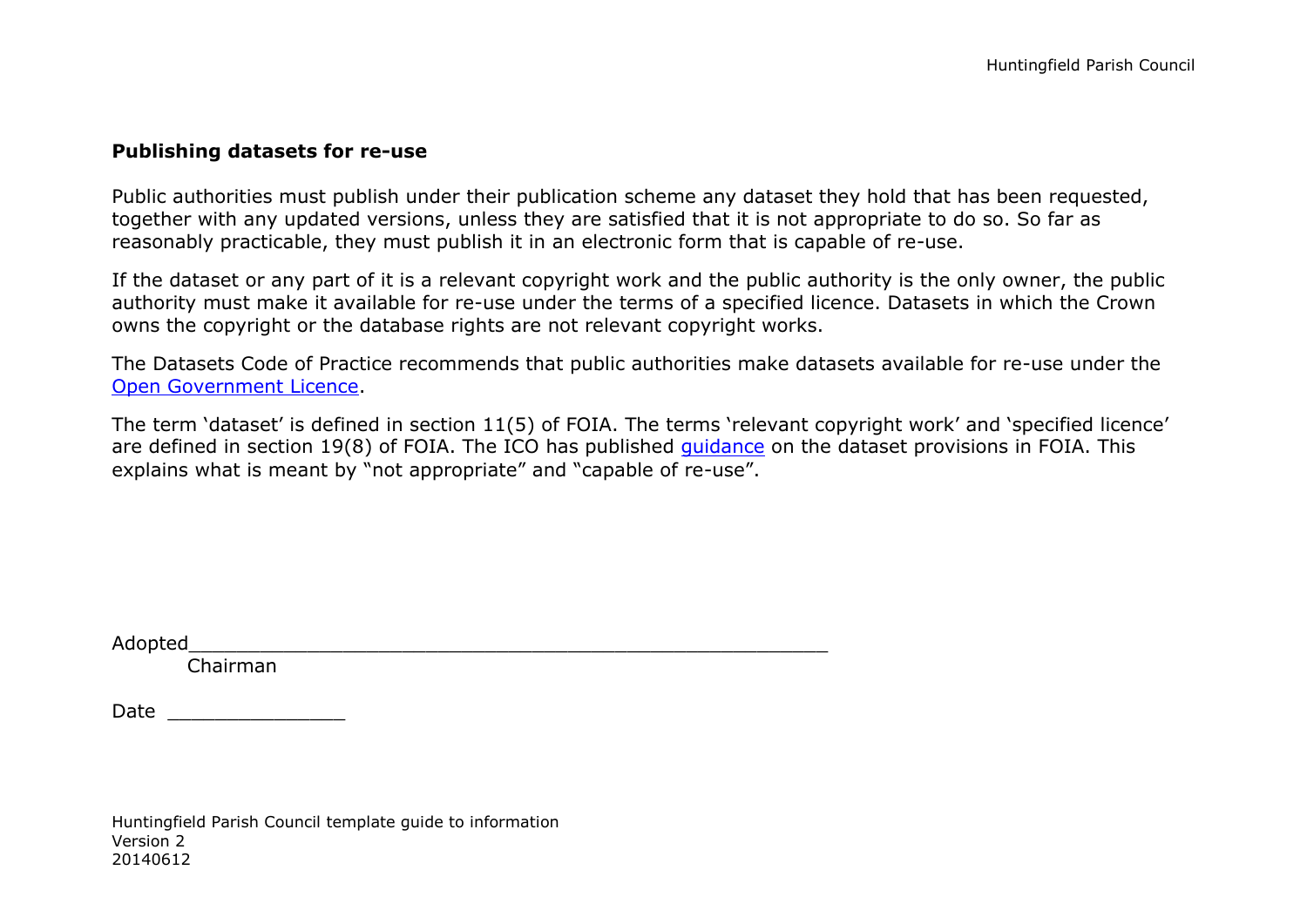## **Publishing datasets for re-use**

Public authorities must publish under their publication scheme any dataset they hold that has been requested, together with any updated versions, unless they are satisfied that it is not appropriate to do so. So far as reasonably practicable, they must publish it in an electronic form that is capable of re-use.

If the dataset or any part of it is a relevant copyright work and the public authority is the only owner, the public authority must make it available for re-use under the terms of a specified licence. Datasets in which the Crown owns the copyright or the database rights are not relevant copyright works.

The Datasets Code of Practice recommends that public authorities make datasets available for re-use under the [Open Government Licence.](http://www.nationalarchives.gov.uk/doc/open-government-licence/version/2/)

The term 'dataset' is defined in section 11(5) of FOIA. The terms 'relevant copyright work' and 'specified licence' are defined in section 19(8) of FOIA. The ICO has published quidance on the dataset provisions in FOIA. This explains what is meant by "not appropriate" and "capable of re-use".

Adopted the contract of the contract of the contract of the contract of the contract of the contract of the contract of the contract of the contract of the contract of the contract of the contract of the contract of the co

Chairman

Date  $\Box$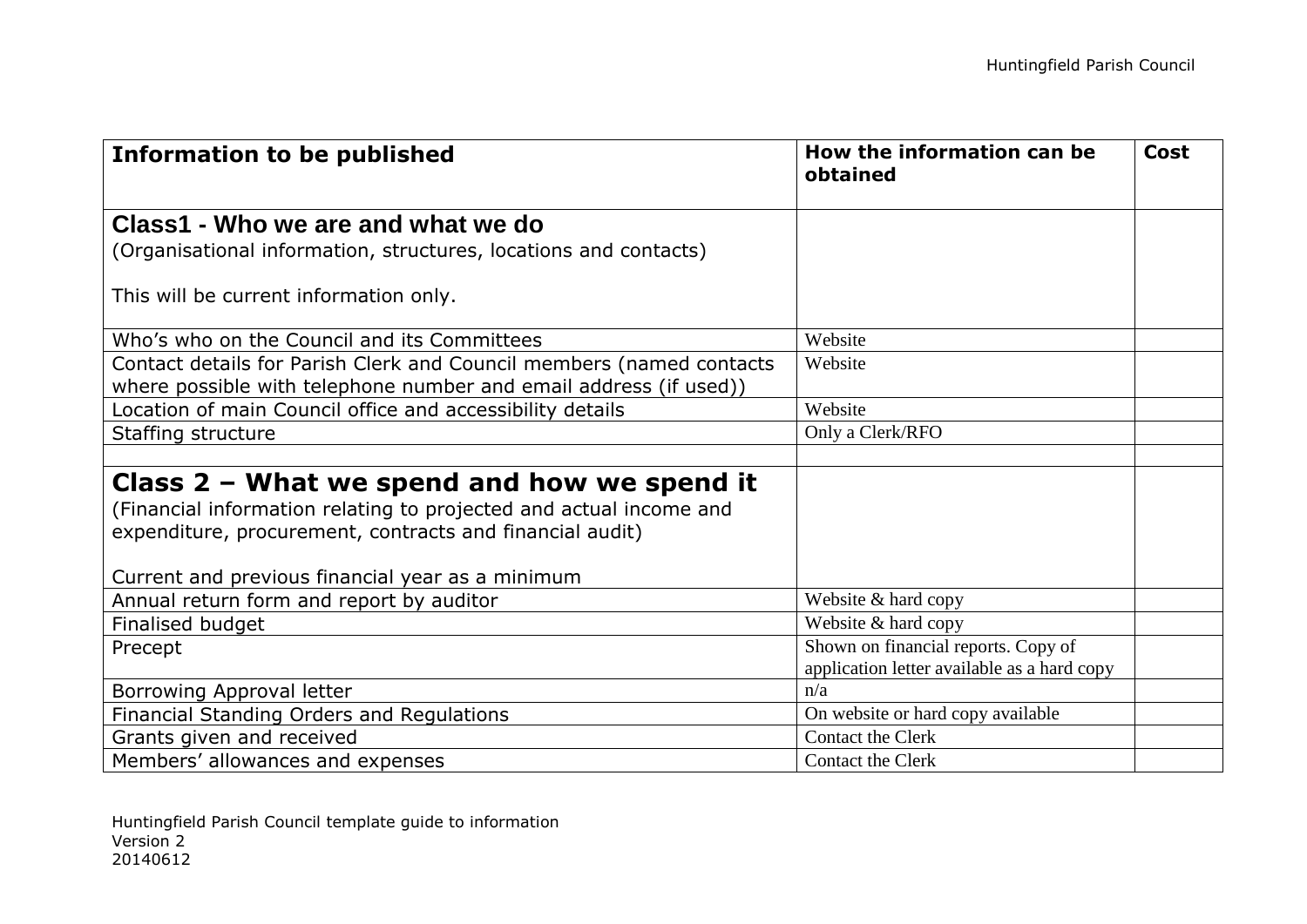| <b>Information to be published</b>                                                                                                        | How the information can be<br>obtained      | <b>Cost</b> |
|-------------------------------------------------------------------------------------------------------------------------------------------|---------------------------------------------|-------------|
| Class1 - Who we are and what we do                                                                                                        |                                             |             |
| (Organisational information, structures, locations and contacts)                                                                          |                                             |             |
| This will be current information only.                                                                                                    |                                             |             |
| Who's who on the Council and its Committees                                                                                               | Website                                     |             |
| Contact details for Parish Clerk and Council members (named contacts<br>where possible with telephone number and email address (if used)) | Website                                     |             |
| Location of main Council office and accessibility details                                                                                 | Website                                     |             |
| Staffing structure                                                                                                                        | Only a Clerk/RFO                            |             |
|                                                                                                                                           |                                             |             |
| Class $2$ – What we spend and how we spend it                                                                                             |                                             |             |
| (Financial information relating to projected and actual income and                                                                        |                                             |             |
| expenditure, procurement, contracts and financial audit)                                                                                  |                                             |             |
|                                                                                                                                           |                                             |             |
| Current and previous financial year as a minimum                                                                                          |                                             |             |
| Annual return form and report by auditor                                                                                                  | Website & hard copy                         |             |
| Finalised budget                                                                                                                          | Website & hard copy                         |             |
| Precept                                                                                                                                   | Shown on financial reports. Copy of         |             |
|                                                                                                                                           | application letter available as a hard copy |             |
| Borrowing Approval letter                                                                                                                 | n/a                                         |             |
| Financial Standing Orders and Regulations                                                                                                 | On website or hard copy available           |             |
| Grants given and received                                                                                                                 | <b>Contact the Clerk</b>                    |             |
| Members' allowances and expenses                                                                                                          | <b>Contact the Clerk</b>                    |             |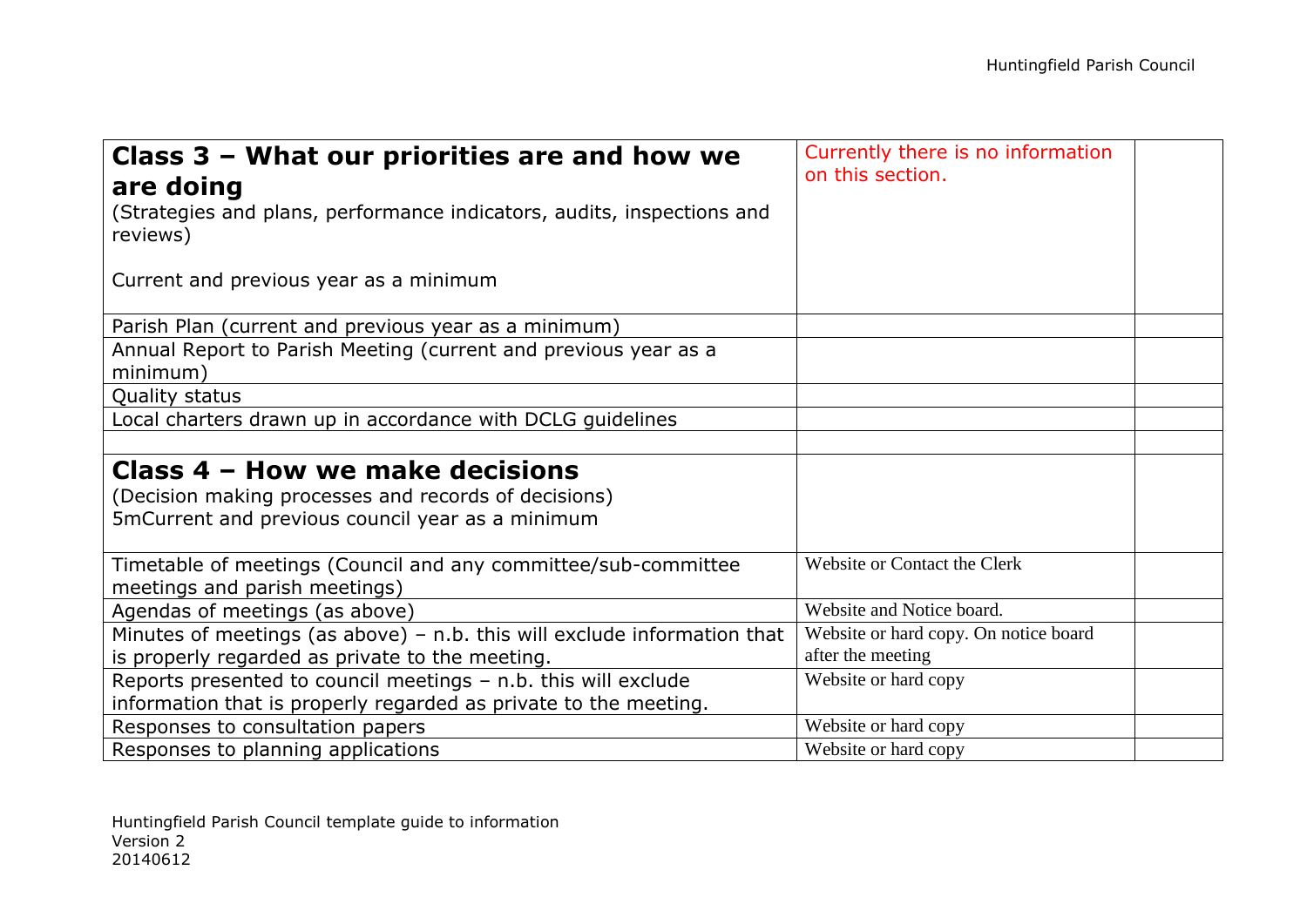| Class 3 - What our priorities are and how we                               | Currently there is no information<br>on this section. |  |
|----------------------------------------------------------------------------|-------------------------------------------------------|--|
| are doing                                                                  |                                                       |  |
| (Strategies and plans, performance indicators, audits, inspections and     |                                                       |  |
| reviews)                                                                   |                                                       |  |
|                                                                            |                                                       |  |
| Current and previous year as a minimum                                     |                                                       |  |
|                                                                            |                                                       |  |
| Parish Plan (current and previous year as a minimum)                       |                                                       |  |
| Annual Report to Parish Meeting (current and previous year as a            |                                                       |  |
| minimum)                                                                   |                                                       |  |
| Quality status                                                             |                                                       |  |
| Local charters drawn up in accordance with DCLG guidelines                 |                                                       |  |
|                                                                            |                                                       |  |
| Class 4 – How we make decisions                                            |                                                       |  |
| (Decision making processes and records of decisions)                       |                                                       |  |
| 5mCurrent and previous council year as a minimum                           |                                                       |  |
|                                                                            |                                                       |  |
| Timetable of meetings (Council and any committee/sub-committee             | Website or Contact the Clerk                          |  |
| meetings and parish meetings)                                              |                                                       |  |
| Agendas of meetings (as above)                                             | Website and Notice board.                             |  |
| Minutes of meetings (as above) $-$ n.b. this will exclude information that | Website or hard copy. On notice board                 |  |
| is properly regarded as private to the meeting.                            | after the meeting                                     |  |
| Reports presented to council meetings - n.b. this will exclude             | Website or hard copy                                  |  |
| information that is properly regarded as private to the meeting.           |                                                       |  |
| Responses to consultation papers                                           | Website or hard copy                                  |  |
| Responses to planning applications                                         | Website or hard copy                                  |  |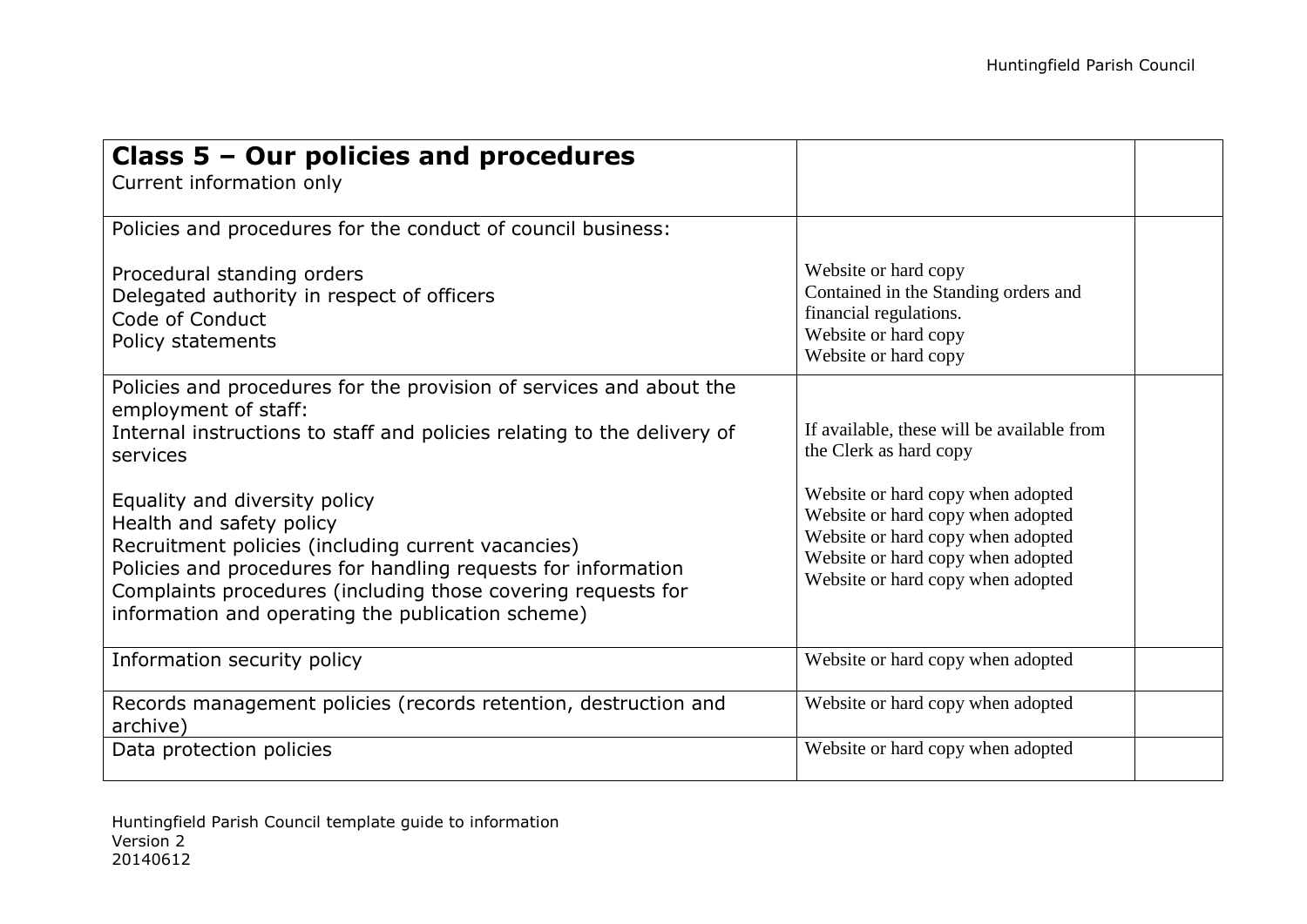| Class 5 - Our policies and procedures<br>Current information only                                                             |                                                                        |  |
|-------------------------------------------------------------------------------------------------------------------------------|------------------------------------------------------------------------|--|
| Policies and procedures for the conduct of council business:                                                                  |                                                                        |  |
| Procedural standing orders<br>Delegated authority in respect of officers                                                      | Website or hard copy<br>Contained in the Standing orders and           |  |
| Code of Conduct                                                                                                               | financial regulations.                                                 |  |
| Policy statements                                                                                                             | Website or hard copy                                                   |  |
|                                                                                                                               | Website or hard copy                                                   |  |
| Policies and procedures for the provision of services and about the<br>employment of staff:                                   |                                                                        |  |
| Internal instructions to staff and policies relating to the delivery of<br>services                                           | If available, these will be available from<br>the Clerk as hard copy   |  |
| Equality and diversity policy                                                                                                 | Website or hard copy when adopted                                      |  |
| Health and safety policy                                                                                                      | Website or hard copy when adopted<br>Website or hard copy when adopted |  |
| Recruitment policies (including current vacancies)                                                                            | Website or hard copy when adopted                                      |  |
| Policies and procedures for handling requests for information<br>Complaints procedures (including those covering requests for | Website or hard copy when adopted                                      |  |
| information and operating the publication scheme)                                                                             |                                                                        |  |
| Information security policy                                                                                                   | Website or hard copy when adopted                                      |  |
| Records management policies (records retention, destruction and<br>archive)                                                   | Website or hard copy when adopted                                      |  |
| Data protection policies                                                                                                      | Website or hard copy when adopted                                      |  |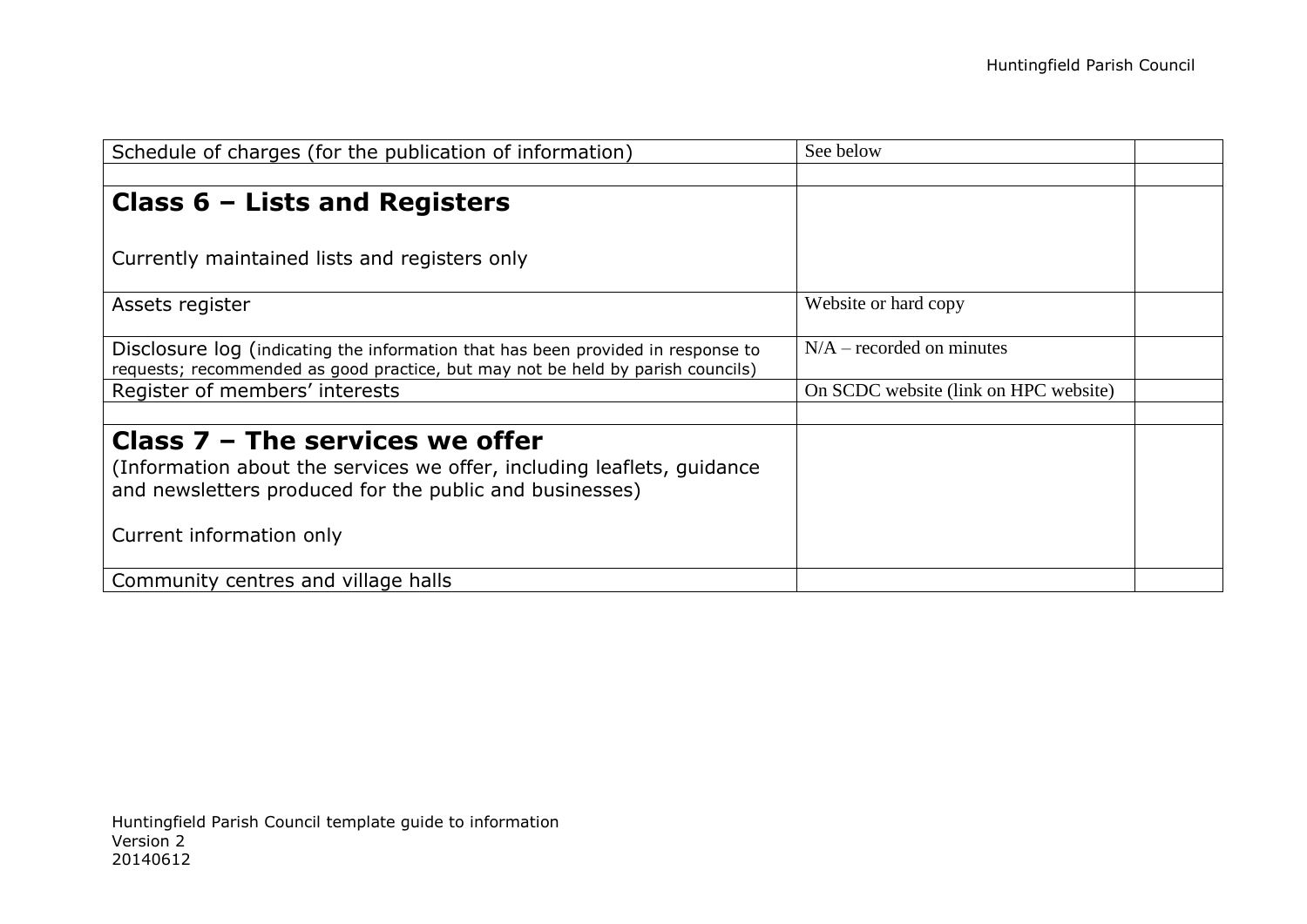| Schedule of charges (for the publication of information)                                                                                                                                           | See below                             |  |
|----------------------------------------------------------------------------------------------------------------------------------------------------------------------------------------------------|---------------------------------------|--|
|                                                                                                                                                                                                    |                                       |  |
| Class $6$ – Lists and Registers                                                                                                                                                                    |                                       |  |
| Currently maintained lists and registers only                                                                                                                                                      |                                       |  |
| Assets register                                                                                                                                                                                    | Website or hard copy                  |  |
| Disclosure log (indicating the information that has been provided in response to<br>requests; recommended as good practice, but may not be held by parish councils)                                | $N/A$ – recorded on minutes           |  |
| Register of members' interests                                                                                                                                                                     | On SCDC website (link on HPC website) |  |
| Class $7$ – The services we offer<br>(Information about the services we offer, including leaflets, quidance<br>and newsletters produced for the public and businesses)<br>Current information only |                                       |  |
|                                                                                                                                                                                                    |                                       |  |
| Community centres and village halls                                                                                                                                                                |                                       |  |